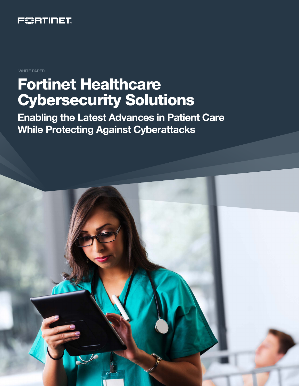

WHITE PAPER

# Fortinet Healthcare Cybersecurity Solutions

Enabling the Latest Advances in Patient Care While Protecting Against Cyberattacks

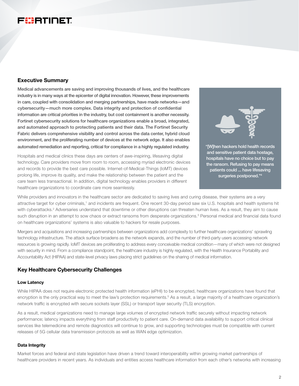# FURTINET

# Executive Summary

Medical advancements are saving and improving thousands of lives, and the healthcare industry is in many ways at the epicenter of digital innovation. However, these improvements in care, coupled with consolidation and merging partnerships, have made networks—and cybersecurity—much more complex. Data integrity and protection of confidential information are critical priorities in the industry, but cost containment is another necessity. Fortinet cybersecurity solutions for healthcare organizations enable a broad, integrated, and automated approach to protecting patients and their data. The Fortinet Security Fabric delivers comprehensive visibility and control across the data center, hybrid cloud environment, and the proliferating number of devices at the network edge. It also enables automated remediation and reporting, critical for compliance in a highly regulated industry.

Hospitals and medical clinics these days are centers of awe-inspiring, lifesaving digital technology. Care providers move from room to room, accessing myriad electronic devices and records to provide the best care possible. Internet-of-Medical-Things (IoMT) devices prolong life, improve its quality, and make the relationship between the patient and the care team less transactional. In addition, digital technology enables providers in different healthcare organizations to coordinate care more seamlessly.



and sensitive patient data hostage, hospitals have no choice but to pay the ransom. Refusing to pay means patients could ... have lifesaving surgeries postponed."4

While providers and innovators in the healthcare sector are dedicated to saving lives and curing disease, their systems are a very attractive target for cyber criminals,<sup>1</sup> and incidents are frequent. One recent 30-day period saw six U.S. hospitals and health systems hit with cyberattacks.<sup>2</sup> Adversaries understand that downtime or other disruptions can threaten human lives. As a result, they aim to cause such disruption in an attempt to sow chaos or extract ransoms from desperate organizations.<sup>3</sup> Personal medical and financial data found on healthcare organizations' systems is also valuable to hackers for resale purposes.

Mergers and acquisitions and increasing partnerships between organizations add complexity to further healthcare organizations' sprawling technology infrastructure. The attack surface broadens as the network expands, and the number of third-party users accessing network resources is growing rapidly. IoMT devices are proliferating to address every conceivable medical condition—many of which were not designed with security in mind. From a compliance standpoint, the healthcare industry is highly regulated, with the Health Insurance Portability and Accountability Act (HIPAA) and state-level privacy laws placing strict guidelines on the sharing of medical information.

# Key Healthcare Cybersecurity Challenges

#### Low Latency

While HIPAA does not require electronic protected health information (ePHI) to be encrypted, healthcare organizations have found that encryption is the only practical way to meet the law's protection requirements.<sup>5</sup> As a result, a large majority of a healthcare organization's network traffic is encrypted with secure sockets layer (SSL) or transport layer security (TLS) encryption.

As a result, medical organizations need to manage large volumes of encrypted network traffic securely without impacting network performance; latency impacts everything from staff productivity to patient care. On-demand data availability to support critical clinical services like telemedicine and remote diagnostics will continue to grow, and supporting technologies must be compatible with current releases of 5G cellular data transmission protocols as well as WAN edge optimization.

#### Data Integrity

Market forces and federal and state legislation have driven a trend toward interoperability within growing market partnerships of healthcare providers in recent years. As individuals and entities access healthcare information from each other's networks with increasing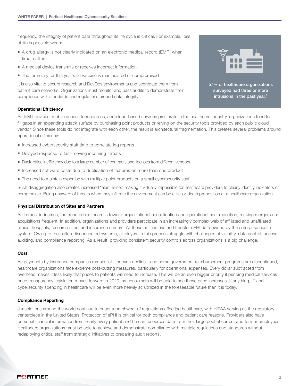frequency, the integrity of patient data throughout its life cycle is critical. For example, loss of life is possible when:

- A drug allergy is not clearly indicated on an electronic medical record (EMR) when time matters
- A medical device transmits or receives incorrect information
- The formulary for this year's flu vaccine is manipulated or compromised

It is also vital to secure research and DevOps environments and segregate them from patient care networks. Organizations must monitor and pass audits to demonstrate their compliance with standards and regulations around data integrity



57% of healthcare organizations surveyed had three or more intrusions in the past year.<sup>6</sup>

#### Operational Efficiency

As IoMT devices, mobile access to resources, and cloud-based services proliferate in the healthcare industry, organizations tend to fill gaps in an expanding attack surface by purchasing point products or relying on the security tools provided by each public cloud vendor. Since these tools do not integrate with each other, the result is architectural fragmentation. This creates several problems around operational efficiency:

- $\blacksquare$  Increased cybersecurity staff time to correlate log reports
- Delayed response to fast-moving incoming threats
- **Back-office inefficiency due to a large number of contracts and licenses from different vendors**
- **n** Increased software costs due to duplication of features on more than one product
- $\blacksquare$  The need to maintain expertise with multiple point products on a small cybersecurity staff

Such disaggregation also creates increased "alert noise," making it virtually impossible for healthcare providers to clearly identify indicators of compromise. Being unaware of threats when they infiltrate the environment can be a life-or-death proposition at a healthcare organization.

#### Physical Distribution of Sites and Partners

As in most industries, the trend in healthcare is toward organizational consolidation and operational cost reduction, making mergers and acquisitions frequent. In addition, organizations and providers participate in an increasingly complex web of affiliated and unaffiliated clinics, hospitals, research sites, and insurance carriers. All these entities use and transfer ePHI data owned by the enterprise health system. Owing to their often-disconnected systems, all players in this process struggle with challenges of visibility, data control, access auditing, and compliance reporting. As a result, providing consistent security controls across organizations is a big challenge.

#### Cost

As payments by insurance companies remain flat—or even decline—and some government reimbursement programs are discontinued, healthcare organizations face extreme cost-cutting measures, particularly for operational expenses. Every dollar subtracted from overhead makes it less likely that prices to patients will need to increase. This will be an even bigger priority if pending medical services price transparency legislation moves forward in 2020, as consumers will be able to see these price increases. If anything, IT and cybersecurity spending in healthcare will be even more heavily scrutinized in the foreseeable future than it is today.

#### Compliance Reporting

Jurisdictions around the world continue to enact a patchwork of regulations affecting healthcare, with HIPAA serving as the regulatory centerpiece in the United States. Protection of ePHI is critical for both compliance and patient care reasons. Providers also have personal financial information from nearly every patient and human resources data from their large pool of current and former employees. Healthcare organizations must be able to achieve and demonstrate compliance with multiple regulations and standards without redeploying critical staff from strategic initiatives to preparing audit reports.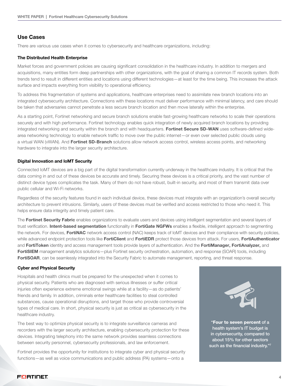# Use Cases

There are various use cases when it comes to cybersecurity and healthcare organizations, including:

#### The Distributed Health Enterprise

Market forces and government policies are causing significant consolidation in the healthcare industry. In addition to mergers and acquisitions, many entities form deep partnerships with other organizations, with the goal of sharing a common IT records system. Both trends tend to result in different entities and locations using different technologies—at least for the time being. This increases the attack surface and impacts everything from visibility to operational efficiency.

To address this fragmentation of systems and applications, healthcare enterprises need to assimilate new branch locations into an integrated cybersecurity architecture. Connections with these locations must deliver performance with minimal latency, and care should be taken that adversaries cannot penetrate a less secure branch location and then move laterally within the enterprise.

As a starting point, Fortinet networking and secure branch solutions enable fast-growing healthcare networks to scale their operations securely and with high performance. Fortinet technology enables quick integration of newly acquired branch locations by providing integrated networking and security within the branch and with headquarters. Fortinet Secure SD-WAN uses software-defined widearea networking technology to enable network traffic to move over the public internet—or even over selected public clouds using a virtual WAN (vWAN). And Fortinet SD-Branch solutions allow network access control, wireless access points, and networking hardware to integrate into the larger security architecture.

#### Digital Innovation and IoMT Security

Connected IoMT devices are a big part of the digital transformation currently underway in the healthcare industry. It is critical that the data coming in and out of these devices be accurate and timely. Securing these devices is a critical priority, and the vast number of distinct device types complicates the task. Many of them do not have robust, built-in security, and most of them transmit data over public cellular and Wi-Fi networks.

Regardless of the security features found in each individual device, these devices must integrate with an organization's overall security architecture to prevent intrusions. Similarly, users of these devices must be verified and access restricted to those who need it. This helps ensure data integrity and timely patient care.

The Fortinet Security Fabric enables organizations to evaluate users and devices using intelligent segmentation and several layers of trust verification. Intent-based segmentation functionality in FortiGate NGFWs enables a flexible, intelligent approach to segmenting the network. For devices, FortiNAC network access control (NAC) keeps track of loMT devices and their compliance with security policies, while advanced endpoint protection tools like FortiClient and FortiEDR protect those devices from attack. For users, FortiAuthenticator and FortiToken identity and access management tools provide layers of authentication. And the FortiManager, FortiAnalyzer, and FortiSIEM management analytics solutions—plus Fortinet security orchestration, automation, and response (SOAR) tools, including FortiSOAR, can be seamlessly integrated into the Security Fabric to automate management, reporting, and threat response.

#### Cyber and Physical Security

Hospitals and health clinics must be prepared for the unexpected when it comes to physical security. Patients who are diagnosed with serious illnesses or suffer critical injuries often experience extreme emotional swings while at a facility—as do patients' friends and family. In addition, criminals enter healthcare facilities to steal controlled substances, cause operational disruptions, and target those who provide controversial types of medical care. In short, physical security is just as critical as cybersecurity in the healthcare industry.

The best way to optimize physical security is to integrate surveillance cameras and recorders with the larger security architecture, enabling cybersecurity protection for these devices. Integrating telephony into the same network provides seamless connections between security personnel, cybersecurity professionals, and law enforcement.

Fortinet provides the opportunity for institutions to integrate cyber and physical security functions—as well as voice communications and public address (PA) systems—onto a



"Four to seven percent of a health system's IT budget is in cybersecurity, compared to about 15% for other sectors such as the financial industry."7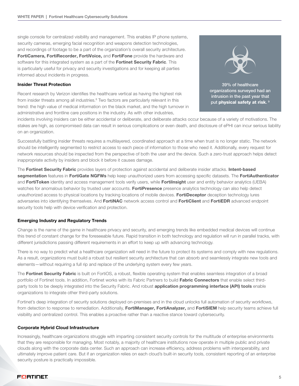single console for centralized visibility and management. This enables IP phone systems, security cameras, emerging facial recognition and weapons detection technologies, and recordings of footage to be a part of the organization's overall security architecture. FortiCamera, FortiRecorder, FortiVoice, and FortiFone provide the hardware and software for this integrated system as a part of the **Fortinet Security Fabric**. This is particularly useful for privacy and security investigations and for keeping all parties informed about incidents in progress.

#### Insider Threat Protection

Recent research by Verizon identifies the healthcare vertical as having the highest risk from insider threats among all industries.<sup>8</sup> Two factors are particularly relevant in this trend: the high value of medical information on the black market, and the high turnover in administrative and frontline care positions in the industry. As with other industries,



organizations surveyed had an intrusion in the past year that put physical safety at risk.<sup>9</sup>

incidents involving insiders can be either accidental or deliberate, and deliberate attacks occur because of a variety of motivations. The stakes are high, as compromised data can result in serious complications or even death, and disclosure of ePHI can incur serious liability on an organization.

Successfully battling insider threats requires a multilayered, coordinated approach at a time when trust is no longer static. The network should be intelligently segmented to restrict access to each piece of information to those who need it. Additionally, every request for network resources should be inspected from the perspective of both the user and the device. Such a zero-trust approach helps detect inappropriate activity by insiders and block it before it causes damage.

The Fortinet Security Fabric provides layers of protection against accidental and deliberate insider attacks. Intent-based segmentation features in FortiGate NGFWs help keep unauthorized users from accessing specific datasets. The FortiAuthenticator and FortiToken identity and access management tools verify users, while Fortilnsight user and entity behavior analytics (UEBA) watches for anomalous behavior by trusted user accounts. FortiPresence presence analytics technology can also help detect unauthorized access to physical locations by tracking locations of mobile devices. FortiDeceptor deception technology lures adversaries into identifying themselves. And FortiNAC network access control and FortiClient and FortiEDR advanced endpoint security tools help with device verification and protection.

#### Emerging Industry and Regulatory Trends

Change is the name of the game in healthcare privacy and security, and emerging trends like embedded medical devices will continue this trend of constant change for the foreseeable future. Rapid transition in both technology and regulation will run in parallel tracks, with different jurisdictions passing different requirements in an effort to keep up with advancing technology.

There is no way to predict what a healthcare organization will need in the future to protect its systems and comply with new regulations. As a result, organizations must build a robust but resilient security architecture that can absorb and seamlessly integrate new tools and elements—without requiring a full rip and replace of the underlying system every few years.

The Fortinet Security Fabric is built on FortiOS, a robust, flexible operating system that enables seamless integration of a broad portfolio of Fortinet tools. In addition, Fortinet works with its Fabric Partners to build Fabric Connectors that enable select thirdparty tools to be deeply integrated into the Security Fabric. And robust application programming interface (API) tools enable organizations to integrate other third-party solutions.

Fortinet's deep integration of security solutions deployed on-premises and in the cloud unlocks full automation of security workflows, from detection to response to remediation. Additionally, FortiManager, FortiAnalyzer, and FortiSIEM help security teams achieve full visibility and centralized control. This enables a proactive rather than a reactive stance toward cybersecurity.

#### Corporate Hybrid Cloud Infrastructure

Increasingly, healthcare organizations struggle with imparting consistent security controls for the multitude of enterprise environments that they are responsible for managing. Most notably, a majority of healthcare institutions now operate in multiple public and private clouds along with the corporate data center. Such an approach can increase efficiency, address problems with interoperability, and ultimately improve patient care. But if an organization relies on each cloud's built-in security tools, consistent reporting of an enterprise security posture is practically impossible.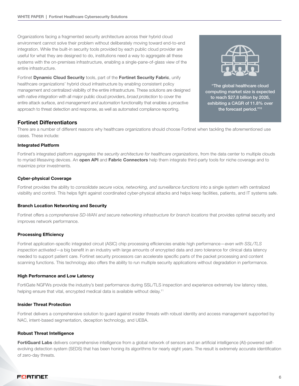Organizations facing a fragmented security architecture across their hybrid cloud environment cannot solve their problem without deliberately moving toward end-to-end integration. While the built-in security tools provided by each public cloud provider are useful for what they are designed to do, institutions need a way to aggregate all these systems with the on-premises infrastructure, enabling a single-pane-of-glass view of the entire infrastructure.

Fortinet Dynamic Cloud Security tools, part of the Fortinet Security Fabric, unify healthcare organizations' hybrid cloud infrastructure by enabling consistent policy management and centralized visibility of the entire infrastructure. These solutions are designed with *native integration* with all major public cloud providers, *broad protection* to cover the entire attack surface, and *management and automation* functionality that enables a proactive approach to threat detection and response, as well as automated compliance reporting.



"The global healthcare cloud computing market size is expected to reach \$27.8 billion by 2026, exhibiting a CAGR of 11.8% over the forecast period."10

# Fortinet Differentiators

There are a number of different reasons why healthcare organizations should choose Fortinet when tackling the aforementioned use cases. These include:

#### Integrated Platform

Fortinet's integrated platform *aggregates the security architecture for healthcare organizations*, from the data center to multiple clouds to myriad lifesaving devices. An open API and Fabric Connectors help them integrate third-party tools for niche coverage and to maximize prior investments.

#### Cyber-physical Coverage

Fortinet provides the ability to *consolidate secure voice, networking, and surveillance functions* into a single system with centralized visibility and control. This helps fight against coordinated cyber-physical attacks and helps keep facilities, patients, and IT systems safe.

# Branch Location Networking and Security

Fortinet offers a *comprehensive SD-WAN and secure networking infrastructure for branch locations* that provides optimal security and improves network performance.

# Processing Efficiency

Fortinet application-specific integrated circuit (ASIC) chip processing efficiencies enable high performance—*even with SSL/TLS inspection activated*—a big benefit in an industry with large amounts of encrypted data and zero tolerance for clinical data latency needed to support patient care. Fortinet security processors can accelerate specific parts of the packet processing and content scanning functions. This technology also offers the ability to run multiple security applications without degradation in performance.

#### High Performance and Low Latency

FortiGate NGFWs provide the industry's best performance during SSL/TLS inspection and experience extremely low latency rates, helping ensure that vital, encrypted medical data is available without delay.<sup>11</sup>

#### Insider Threat Protection

Fortinet delivers a comprehensive solution to guard against insider threats with robust identity and access management supported by NAC, intent-based segmentation, deception technology, and UEBA.

# Robust Threat Intelligence

FortiGuard Labs delivers comprehensive intelligence from a global network of sensors and an artificial intelligence (AI)-powered selfevolving detection system (SEDS) that has been honing its algorithms for nearly eight years. The result is extremely accurate identification of zero-day threats.

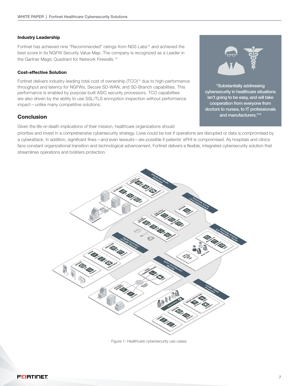#### Industry Leadership

Fortinet has achieved nine "Recommended" ratings from NSS Labs<sup>12</sup> and achieved the best score in its NGFW Security Value Map. The company is recognized as a Leader in the Gartner Magic Quadrant for Network Firewalls.<sup>13</sup>

#### Cost-effective Solution

Fortinet delivers industry-leading total cost of ownership (TCO)<sup>14</sup> due to high-performance throughput and latency for NGFWs, Secure SD-WAN, and SD-Branch capabilities. This performance is enabled by purpose-built ASIC security processors. TCO capabilities are also driven by the ability to use SSL/TLS encryption inspection without performance impact—unlike many competitive solutions.

# **Conclusion**

Given the life-or-death implications of their mission, healthcare organizations should

prioritize and invest in a comprehensive cybersecurity strategy. Lives could be lost if operations are disrupted or data is compromised by a cyberattack. In addition, significant fines—and even lawsuits—are possible if patients' ePHI is compromised. As hospitals and clinics face constant organizational transition and technological advancement, Fortinet delivers a flexible, integrated cybersecurity solution that streamlines operations and bolsters protection.



Figure 1: Healthcare cybersecurity use cases.



"Substantially addressing cybersecurity in healthcare situations isn't going to be easy, and will take cooperation from everyone from doctors to nurses, to IT professionals and manufacturers."15